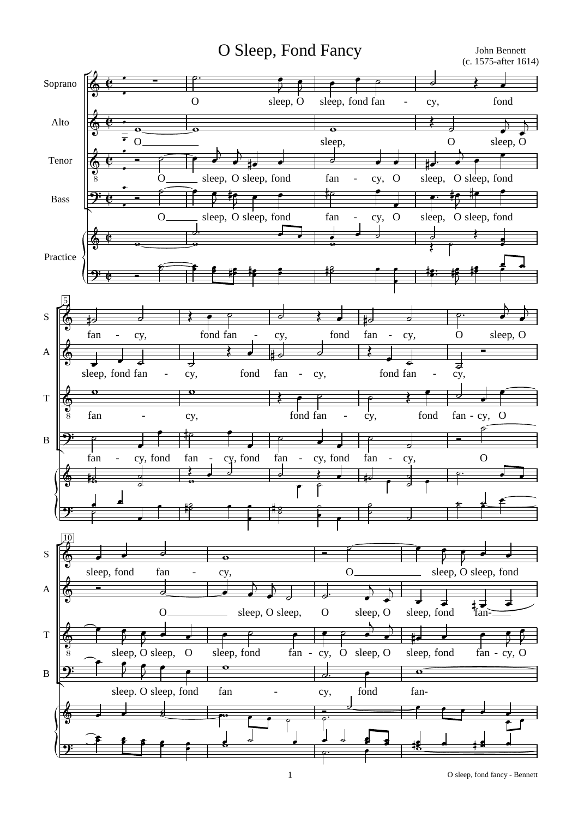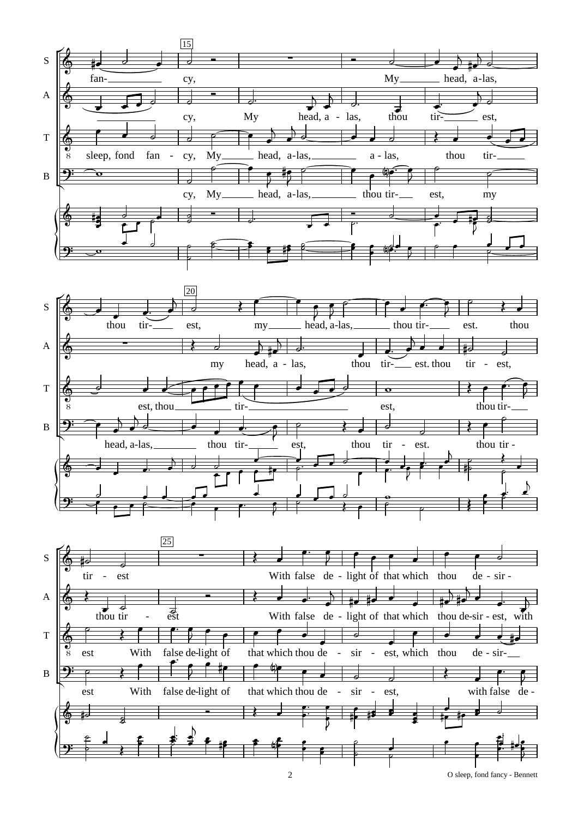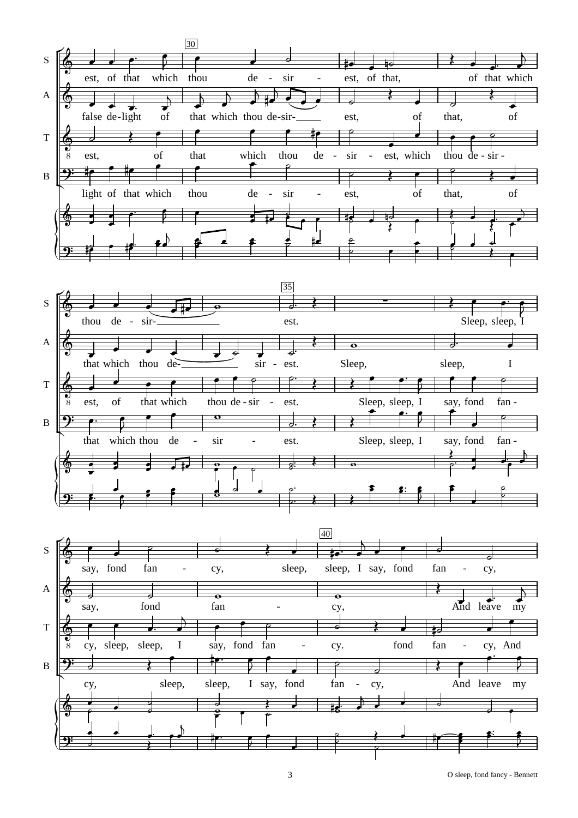